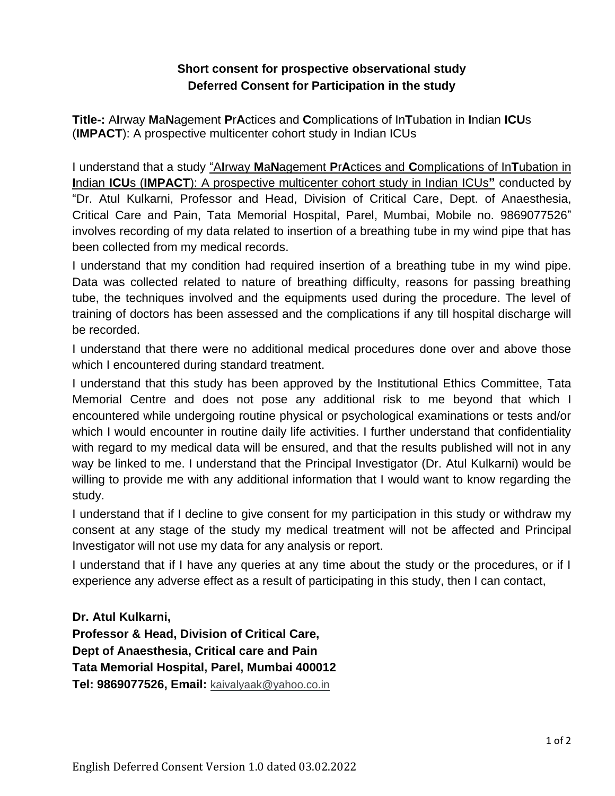## **Short consent for prospective observational study Deferred Consent for Participation in the study**

**Title-:** A**I**rway **M**a**N**agement **P**r**A**ctices and **C**omplications of In**T**ubation in **I**ndian **ICU**s (**IMPACT**): A prospective multicenter cohort study in Indian ICUs

I understand that a study "A**I**rway **M**a**N**agement **P**r**A**ctices and **C**omplications of In**T**ubation in **I**ndian **ICU**s (**IMPACT**): A prospective multicenter cohort study in Indian ICUs**"** conducted by "Dr. Atul Kulkarni, Professor and Head, Division of Critical Care, Dept. of Anaesthesia, Critical Care and Pain, Tata Memorial Hospital, Parel, Mumbai, Mobile no. 9869077526" involves recording of my data related to insertion of a breathing tube in my wind pipe that has been collected from my medical records.

I understand that my condition had required insertion of a breathing tube in my wind pipe. Data was collected related to nature of breathing difficulty, reasons for passing breathing tube, the techniques involved and the equipments used during the procedure. The level of training of doctors has been assessed and the complications if any till hospital discharge will be recorded.

I understand that there were no additional medical procedures done over and above those which I encountered during standard treatment.

I understand that this study has been approved by the Institutional Ethics Committee, Tata Memorial Centre and does not pose any additional risk to me beyond that which I encountered while undergoing routine physical or psychological examinations or tests and/or which I would encounter in routine daily life activities. I further understand that confidentiality with regard to my medical data will be ensured, and that the results published will not in any way be linked to me. I understand that the Principal Investigator (Dr. Atul Kulkarni) would be willing to provide me with any additional information that I would want to know regarding the study.

I understand that if I decline to give consent for my participation in this study or withdraw my consent at any stage of the study my medical treatment will not be affected and Principal Investigator will not use my data for any analysis or report.

I understand that if I have any queries at any time about the study or the procedures, or if I experience any adverse effect as a result of participating in this study, then I can contact,

**Dr. Atul Kulkarni,**

**Professor & Head, Division of Critical Care, Dept of Anaesthesia, Critical care and Pain Tata Memorial Hospital, Parel, Mumbai 400012 Tel: 9869077526, Email:** [kaivalyaak@yahoo.co.in](mailto:kaivalyaak@yahoo.co.in)